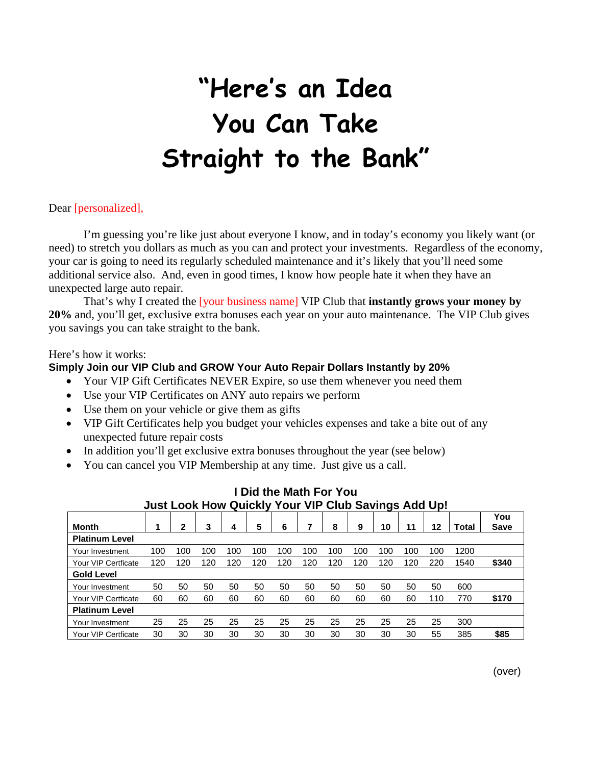# **"Here's an Idea You Can Take Straight to the Bank"**

#### Dear [personalized],

I'm guessing you're like just about everyone I know, and in today's economy you likely want (or need) to stretch you dollars as much as you can and protect your investments. Regardless of the economy, your car is going to need its regularly scheduled maintenance and it's likely that you'll need some additional service also. And, even in good times, I know how people hate it when they have an unexpected large auto repair.

That's why I created the [your business name] VIP Club that **instantly grows your money by 20%** and, you'll get, exclusive extra bonuses each year on your auto maintenance. The VIP Club gives you savings you can take straight to the bank.

#### Here's how it works:

#### **Simply Join our VIP Club and GROW Your Auto Repair Dollars Instantly by 20%**

- Your VIP Gift Certificates NEVER Expire, so use them whenever you need them
- Use your VIP Certificates on ANY auto repairs we perform
- Use them on your vehicle or give them as gifts
- VIP Gift Certificates help you budget your vehicles expenses and take a bite out of any unexpected future repair costs
- In addition you'll get exclusive extra bonuses throughout the year (see below)
- You can cancel you VIP Membership at any time. Just give us a call.

|                       |     |     |     |     |     |     |     |     |     |     |     |     |       | You         |
|-----------------------|-----|-----|-----|-----|-----|-----|-----|-----|-----|-----|-----|-----|-------|-------------|
| Month                 |     | 2   | 3   |     | 5   | 6   |     | 8   | 9   | 10  | 11  | 12  | Total | <b>Save</b> |
| <b>Platinum Level</b> |     |     |     |     |     |     |     |     |     |     |     |     |       |             |
| Your Investment       | 100 | 100 | 100 | 100 | 100 | 100 | 100 | 100 | 100 | 100 | 100 | 100 | 1200  |             |
| Your VIP Certficate   | 120 | 120 | 120 | 120 | 120 | 120 | 120 | 120 | 120 | 120 | 120 | 220 | 1540  | \$340       |
| <b>Gold Level</b>     |     |     |     |     |     |     |     |     |     |     |     |     |       |             |
| Your Investment       | 50  | 50  | 50  | 50  | 50  | 50  | 50  | 50  | 50  | 50  | 50  | 50  | 600   |             |
| Your VIP Certficate   | 60  | 60  | 60  | 60  | 60  | 60  | 60  | 60  | 60  | 60  | 60  | 110 | 770   | \$170       |
| <b>Platinum Level</b> |     |     |     |     |     |     |     |     |     |     |     |     |       |             |
| Your Investment       | 25  | 25  | 25  | 25  | 25  | 25  | 25  | 25  | 25  | 25  | 25  | 25  | 300   |             |
| Your VIP Certficate   | 30  | 30  | 30  | 30  | 30  | 30  | 30  | 30  | 30  | 30  | 30  | 55  | 385   | \$85        |

### **I Did the Math For You Just Look How Quickly Your VIP Club Savings Add Up!**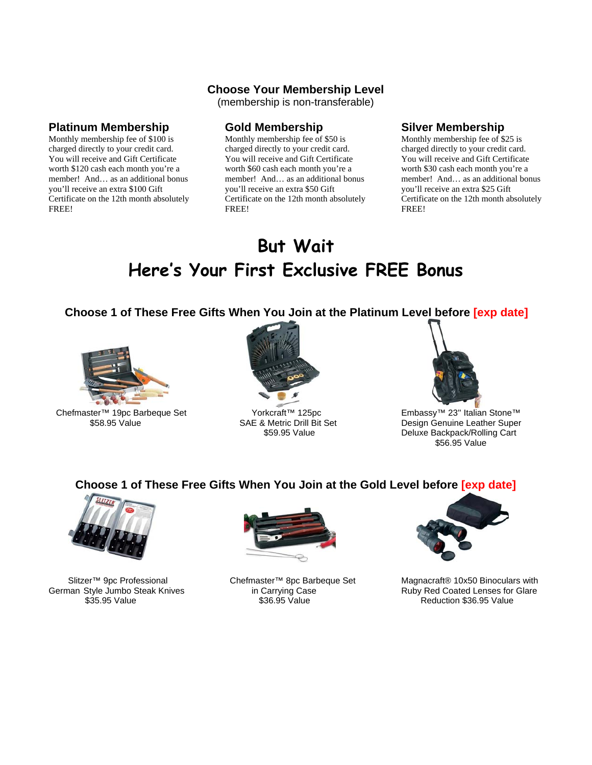#### **Choose Your Membership Level**

(membership is non-transferable)

#### **Platinum Membership**

Monthly membership fee of \$100 is charged directly to your credit card. You will receive and Gift Certificate worth \$120 cash each month you're a member! And… as an additional bonus you'll receive an extra \$100 Gift Certificate on the 12th month absolutely FREE!

#### **Gold Membership**

Monthly membership fee of \$50 is charged directly to your credit card. You will receive and Gift Certificate worth \$60 cash each month you're a member! And… as an additional bonus you'll receive an extra \$50 Gift Certificate on the 12th month absolutely FREE!

#### **Silver Membership**

Monthly membership fee of \$25 is charged directly to your credit card. You will receive and Gift Certificate worth \$30 cash each month you're a member! And… as an additional bonus you'll receive an extra \$25 Gift Certificate on the 12th month absolutely FREE!

# **But Wait Here's Your First Exclusive FREE Bonus**

 **Choose 1 of These Free Gifts When You Join at the Platinum Level before [exp date]** 



Chefmaster™ 19pc Barbeque Set \$58.95 Value



 Yorkcraft™ 125pc SAE & Metric Drill Bit Set \$59.95 Value



Embassy™ 23'' Italian Stone™ Design Genuine Leather Super Deluxe Backpack/Rolling Cart \$56.95 Value

## **Choose 1 of These Free Gifts When You Join at the Gold Level before [exp date]**



 Slitzer™ 9pc Professional German Style Jumbo Steak Knives \$35.95 Value



 Chefmaster™ 8pc Barbeque Set in Carrying Case \$36.95 Value



Magnacraft® 10x50 Binoculars with Ruby Red Coated Lenses for Glare Reduction \$36.95 Value